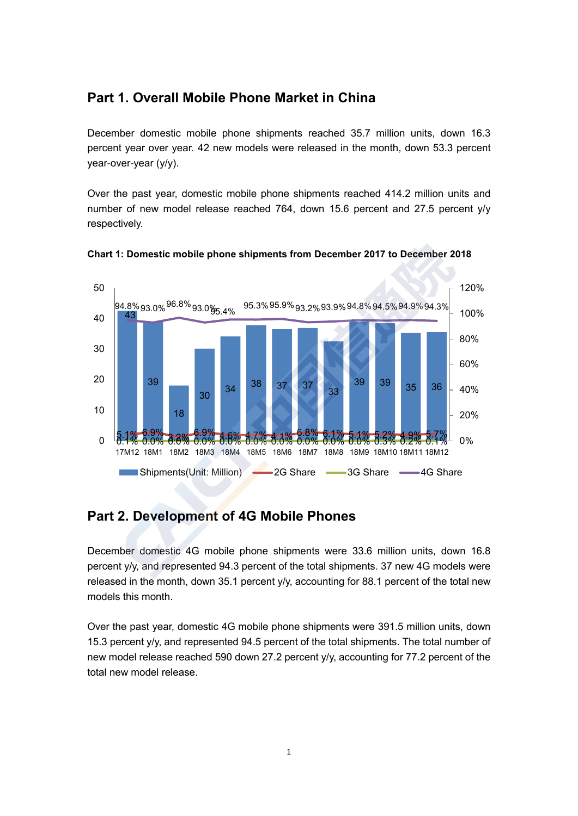## **Part 1. Overall Mobile Phone Market in China**

December domestic mobile phone shipments reached 35.7 million units, down 16.3 percent year over year. 42 new models were released in the month, down 53.3 percent year-over-year (y/y).

Over the past year, domestic mobile phone shipments reached 414.2 million units and number of new model release reached 764, down 15.6 percent and 27.5 percent y/y respectively.





## **Part 2. Development of 4G Mobile Phones**

December domestic 4G mobile phone shipments were 33.6 million units, down 16.8 percent y/y, and represented 94.3 percent of the total shipments. 37 new 4G models were released in the month, down 35.1 percent y/y, accounting for 88.1 percent of the total new models this month.

Over the past year, domestic 4G mobile phone shipments were 391.5 million units, down 15.3 percent y/y, and represented 94.5 percent of the total shipments. The total number of new model release reached 590 down 27.2 percent y/y, accounting for 77.2 percent of the total new model release.